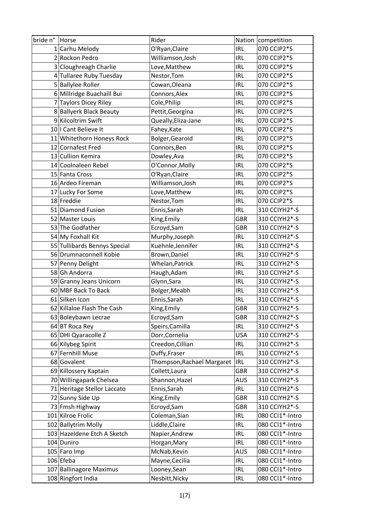| bride n° Horse |                              | Rider                      |            | Nation competition |
|----------------|------------------------------|----------------------------|------------|--------------------|
|                | 1 Carhu Melody               | O'Ryan, Claire             | <b>IRL</b> | 070 CCIP2*S        |
|                | 2 Rockon Pedro               | Williamson, Josh           | <b>IRL</b> | 070 CCIP2*S        |
|                | 3 Cloughreagh Charlie        | Love, Matthew              | <b>IRL</b> | 070 CCIP2*S        |
|                | 4 Tullaree Ruby Tuesday      | Nestor, Tom                | <b>IRL</b> | 070 CCIP2*S        |
|                | 5 Ballylee Roller            | Cowan, Oleana              | <b>IRL</b> | 070 CCIP2*S        |
|                | 6 Millridge Buachaill Bui    | Connors, Alex              | <b>IRL</b> | 070 CCIP2*S        |
|                | 7 Taylors Dicey Riley        | Cole, Philip               | <b>IRL</b> | 070 CCIP2*S        |
|                | 8 Ballyerk Black Beauty      | Pettit, Georgina           | <b>IRL</b> | 070 CCIP2*S        |
|                | 9 Kilcoltrim Swift           | Queally, Eliza-Jane        | <b>IRL</b> | 070 CCIP2*S        |
|                | 10   Cant Believe It         | Fahey, Kate                | <b>IRL</b> | 070 CCIP2*S        |
|                | 11 Whitethorn Honeys Rock    | Bolger, Gearoid            | <b>IRL</b> | 070 CCIP2*S        |
|                | 12 Cornafest Fred            | Connors, Ben               | <b>IRL</b> | 070 CCIP2*S        |
|                | 13 Cullion Kemira            | Dowley, Ava                | <b>IRL</b> | 070 CCIP2*S        |
|                | 14 Coolnaleen Rebel          | O'Connor, Molly            | <b>IRL</b> | 070 CCIP2*S        |
|                | 15 Fanta Cross               | O'Ryan, Claire             | <b>IRL</b> | 070 CCIP2*S        |
|                | 16 Ardeo Fireman             | Williamson, Josh           | <b>IRL</b> | 070 CCIP2*S        |
|                | 17 Lucky For Some            | Love, Matthew              | <b>IRL</b> | 070 CCIP2*S        |
|                | 18 Freddie                   | Nestor, Tom                | <b>IRL</b> | 070 CCIP2*S        |
|                | 51 Diamond Fusion            | Ennis, Sarah               | <b>IRL</b> | 310 CCIYH2*-S      |
|                | 52 Master Louis              | King, Emily                | <b>GBR</b> | 310 CCIYH2*-S      |
|                | 53 The Godfather             | Ecroyd, Sam                | <b>GBR</b> | 310 CCIYH2*-S      |
|                | 54 My Foxhall Kit            | Murphy, Joseph             | <b>IRL</b> | 310 CCIYH2*-S      |
|                | 55 Tullibards Bennys Special | Kuehnle, Jennifer          | <b>IRL</b> | 310 CCIYH2*-S      |
|                | 56 Drumnaconnell Kobie       | Brown, Daniel              | <b>IRL</b> | 310 CCIYH2*-S      |
|                | 57 Penny Delight             | Whelan, Patrick            | <b>IRL</b> | 310 CCIYH2*-S      |
|                | 58 Gh Andorra                | Haugh, Adam                | <b>IRL</b> | 310 CCIYH2*-S      |
|                | 59 Granny Jeans Unicorn      | Glynn, Sara                | <b>IRL</b> | 310 CCIYH2*-S      |
|                | 60 MBF Back To Back          | Bolger, Meabh              | <b>IRL</b> | 310 CCIYH2*-S      |
|                | 61 Silken Icon               | Ennis, Sarah               | <b>IRL</b> | 310 CCIYH2*-S      |
|                | 62 Killaloe Flash The Cash   | King, Emily                | <b>GBR</b> | 310 CCIYH2*-S      |
|                | 63 Boleybawn Lecrae          | Ecroyd, Sam                | <b>GBR</b> | 310 CCIYH2*-S      |
|                | 64 BT Roca Rey               | Speirs, Camilla            | <b>IRL</b> | 310 CCIYH2*-S      |
|                | 65 DHI Qyaracolle Z          | Dorr, Cornelia             | <b>USA</b> | 310 CCIYH2*-S      |
|                | 66 Kilybeg Spirit            | Creedon, Cillian           | <b>IRL</b> | 310 CCIYH2*-S      |
|                | 67 Fernhill Muse             | Duffy, Fraser              | <b>IRL</b> | 310 CCIYH2*-S      |
|                | 68 Govalent                  | Thompson, Rachael Margaret | <b>IRL</b> | 310 CCIYH2*-S      |
|                | 69 Killossery Kaptain        | Collett, Laura             | <b>GBR</b> | 310 CCIYH2*-S      |
|                | 70 Willingapark Chelsea      | Shannon, Hazel             | <b>AUS</b> | 310 CCIYH2*-S      |
|                | 71 Heritage Stellor Laccato  | Ennis, Sarah               | <b>IRL</b> | 310 CCIYH2*-S      |
|                | 72 Sunny Side Up             | King, Emily                | <b>GBR</b> | 310 CCIYH2*-S      |
|                | 73 Fmsh Highway              | Ecroyd, Sam                | <b>GBR</b> | 310 CCIYH2*-S      |
|                | 101 Kilroe Frolic            | Coleman, Sian              | <b>IRL</b> | 080 CCI1*-Intro    |
|                | 102 Ballytrim Molly          | Liddle, Claire             | <b>IRL</b> | 080 CCI1*-Intro    |
|                | 103 Hazeldene Etch A Sketch  | Napier, Andrew             | <b>IRL</b> | 080 CCI1*-Intro    |
|                | 104 Duniro                   | Horgan, Mary               | <b>IRL</b> | 080 CCI1*-Intro    |
|                | 105 Faro Imp                 | McNab, Kevin               | <b>AUS</b> | 080 CCI1*-Intro    |
|                | 106 Efeba                    | Mayne, Cecilia             | <b>IRL</b> | 080 CCI1*-Intro    |
|                | 107 Ballinagore Maximus      | Looney, Sean               | <b>IRL</b> | 080 CCI1*-Intro    |
|                | 108 Ringfort India           | Nesbitt, Nicky             | <b>IRL</b> | 080 CCI1*-Intro    |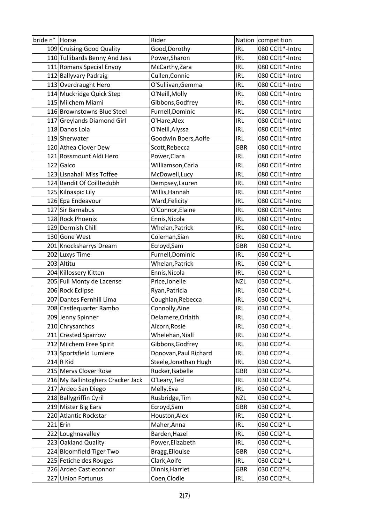| bride n° Horse |                                   | Rider                 |            | Nation competition |
|----------------|-----------------------------------|-----------------------|------------|--------------------|
|                | 109 Cruising Good Quality         | Good, Dorothy         | <b>IRL</b> | 080 CCI1*-Intro    |
|                | 110 Tullibards Benny And Jess     | Power, Sharon         | IRL        | 080 CCI1*-Intro    |
|                | 111 Romans Special Envoy          | McCarthy, Zara        | <b>IRL</b> | 080 CCI1*-Intro    |
|                | 112 Ballyvary Padraig             | Cullen, Connie        | <b>IRL</b> | 080 CCI1*-Intro    |
|                | 113 Overdraught Hero              | O'Sullivan, Gemma     | <b>IRL</b> | 080 CCI1*-Intro    |
|                | 114 Muckridge Quick Step          | O'Neill, Molly        | <b>IRL</b> | 080 CCI1*-Intro    |
|                | 115 Milchem Miami                 | Gibbons, Godfrey      | <b>IRL</b> | 080 CCI1*-Intro    |
|                | 116 Brownstowns Blue Steel        | Furnell, Dominic      | <b>IRL</b> | 080 CCI1*-Intro    |
|                | 117 Greylands Diamond Girl        | O'Hare, Alex          | <b>IRL</b> | 080 CCI1*-Intro    |
|                | 118 Danos Lola                    | O'Neill, Alyssa       | <b>IRL</b> | 080 CCI1*-Intro    |
|                | 119 Sherwater                     | Goodwin Boers, Aoife  | <b>IRL</b> | 080 CCI1*-Intro    |
|                | 120 Athea Clover Dew              | Scott, Rebecca        | <b>GBR</b> | 080 CCI1*-Intro    |
|                | 121 Rossmount Aldi Hero           | Power, Ciara          | <b>IRL</b> | 080 CCI1*-Intro    |
|                | 122 Galco                         | Williamson, Carla     | <b>IRL</b> | 080 CCI1*-Intro    |
|                | 123 Lisnahall Miss Toffee         | McDowell, Lucy        | <b>IRL</b> | 080 CCI1*-Intro    |
|                | 124 Bandit Of Coilltedubh         | Dempsey, Lauren       | <b>IRL</b> | 080 CCI1*-Intro    |
|                | 125 Kilnaspic Lily                | Willis, Hannah        | <b>IRL</b> | 080 CCI1*-Intro    |
|                | 126 Epa Endeavour                 | Ward, Felicity        | <b>IRL</b> | 080 CCI1*-Intro    |
|                | 127 Sir Barnabus                  | O'Connor, Elaine      | <b>IRL</b> | 080 CCI1*-Intro    |
|                | 128 Rock Phoenix                  | Ennis, Nicola         | <b>IRL</b> | 080 CCI1*-Intro    |
|                | 129 Dermish Chill                 | Whelan, Patrick       | <b>IRL</b> | 080 CCI1*-Intro    |
|                | 130 Gone West                     | Coleman, Sian         | <b>IRL</b> | 080 CCI1*-Intro    |
|                | 201 Knocksharrys Dream            | Ecroyd, Sam           | <b>GBR</b> | 030 CCI2*-L        |
|                | 202 Luxys Time                    | Furnell, Dominic      | <b>IRL</b> | 030 CCI2*-L        |
|                | 203 Altitu                        | Whelan, Patrick       | <b>IRL</b> | 030 CCI2*-L        |
|                | 204 Killossery Kitten             | Ennis, Nicola         | <b>IRL</b> | 030 CCI2*-L        |
|                | 205 Full Monty de Lacense         | Price, Jonelle        | <b>NZL</b> | 030 CCI2*-L        |
|                | 206 Rock Eclipse                  | Ryan, Patricia        | <b>IRL</b> | 030 CCI2*-L        |
|                | 207 Dantes Fernhill Lima          | Coughlan, Rebecca     | <b>IRL</b> | 030 CCI2*-L        |
|                | 208 Castlequarter Rambo           | Connolly, Aine        | <b>IRL</b> | 030 CCI2*-L        |
|                | 209 Jenny Spinner                 | Delamere, Orlaith     | <b>IRL</b> | 030 CCI2*-L        |
|                | 210 Chrysanthos                   | Alcorn, Rosie         | <b>IRL</b> | 030 CCI2*-L        |
|                | 211 Crested Sparrow               | Whelehan, Niall       | <b>IRL</b> | 030 CCI2*-L        |
|                | 212 Milchem Free Spirit           | Gibbons, Godfrey      | <b>IRL</b> | 030 CCI2*-L        |
|                | 213 Sportsfield Lumiere           | Donovan, Paul Richard | <b>IRL</b> | 030 CCI2*-L        |
|                | $214 R$ Kid                       | Steele, Jonathan Hugh | <b>IRL</b> | 030 CCI2*-L        |
|                | 215 Mervs Clover Rose             | Rucker, Isabelle      | <b>GBR</b> | 030 CCI2*-L        |
|                | 216 My Ballintoghers Cracker Jack | O'Leary, Ted          | <b>IRL</b> | 030 CCI2*-L        |
|                | 217 Ardeo San Diego               | Melly, Eva            | <b>IRL</b> | 030 CCI2*-L        |
|                | 218 Ballygriffin Cyril            | Rusbridge, Tim        | <b>NZL</b> | 030 CCI2*-L        |
|                | 219 Mister Big Ears               | Ecroyd, Sam           | <b>GBR</b> | 030 CCI2*-L        |
|                | 220 Atlantic Rockstar             | Houston, Alex         | <b>IRL</b> | 030 CCI2*-L        |
|                | $221$ Erin                        | Maher, Anna           | <b>IRL</b> | 030 CCI2*-L        |
|                | 222 Loughnavalley                 | Barden, Hazel         | <b>IRL</b> | 030 CCI2*-L        |
|                | 223 Oakland Quality               | Power, Elizabeth      | <b>IRL</b> | 030 CCI2*-L        |
|                | 224 Bloomfield Tiger Two          | Bragg, Ellouise       | <b>GBR</b> | 030 CCI2*-L        |
|                | 225 Fetiche des Rouges            | Clark, Aoife          | <b>IRL</b> | 030 CCI2*-L        |
|                | 226 Ardeo Castleconnor            | Dinnis, Harriet       | <b>GBR</b> | 030 CCI2*-L        |
|                | 227 Union Fortunus                | Coen, Clodie          | <b>IRL</b> | 030 CCI2*-L        |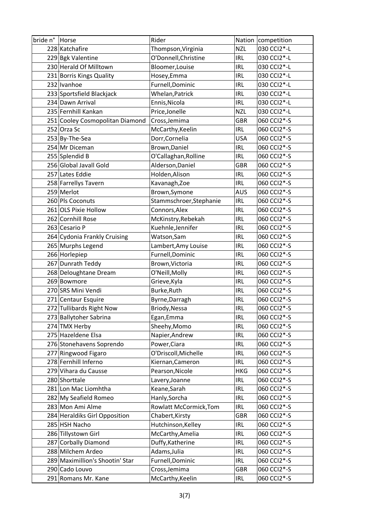| bride n° Horse |                                 | Rider                   |            | Nation competition |
|----------------|---------------------------------|-------------------------|------------|--------------------|
|                | 228 Katchafire                  | Thompson, Virginia      | <b>NZL</b> | 030 CCI2*-L        |
|                | 229 Bgk Valentine               | O'Donnell, Christine    | <b>IRL</b> | 030 CCI2*-L        |
|                | 230 Herald Of Milltown          | Bloomer, Louise         | <b>IRL</b> | 030 CCI2*-L        |
|                | 231 Borris Kings Quality        | Hosey, Emma             | <b>IRL</b> | 030 CCI2*-L        |
|                | 232 Ivanhoe                     | Furnell, Dominic        | <b>IRL</b> | 030 CCI2*-L        |
|                | 233 Sportsfield Blackjack       | Whelan, Patrick         | <b>IRL</b> | 030 CCI2*-L        |
|                | 234 Dawn Arrival                | Ennis, Nicola           | <b>IRL</b> | 030 CCI2*-L        |
|                | 235 Fernhill Kankan             | Price, Jonelle          | <b>NZL</b> | 030 CCI2*-L        |
|                | 251 Cooley Cosmopolitan Diamond | Cross, Jemima           | <b>GBR</b> | 060 CCI2*-S        |
|                | 252 Orza Sc                     | McCarthy, Keelin        | <b>IRL</b> | 060 CCI2*-S        |
|                | 253 By-The-Sea                  | Dorr, Cornelia          | <b>USA</b> | 060 CCI2*-S        |
|                | 254 Mr Diceman                  | Brown, Daniel           | <b>IRL</b> | 060 CCI2*-S        |
|                | 255 Splendid B                  | O'Callaghan, Rolline    | <b>IRL</b> | 060 CCI2*-S        |
|                | 256 Global Javall Gold          | Alderson, Daniel        | <b>GBR</b> | 060 CCI2*-S        |
|                | 257 Lates Eddie                 | Holden, Alison          | <b>IRL</b> | 060 CCI2*-S        |
|                | 258 Farrellys Tavern            | Kavanagh, Zoe           | <b>IRL</b> | 060 CCI2*-S        |
|                | 259 Merlot                      | Brown, Symone           | <b>AUS</b> | 060 CCI2*-S        |
|                | 260 Pls Coconuts                | Stammschroer, Stephanie | <b>IRL</b> | 060 CCI2*-S        |
|                | 261 OLS Pixie Hollow            | Connors, Alex           | <b>IRL</b> | 060 CCI2*-S        |
|                | 262 Cornhill Rose               | McKinstry, Rebekah      | <b>IRL</b> | 060 CCI2*-S        |
|                | 263 Cesario P                   | Kuehnle, Jennifer       | <b>IRL</b> | 060 CCI2*-S        |
|                | 264 Cydonia Frankly Cruising    | Watson, Sam             | <b>IRL</b> | 060 CCI2*-S        |
|                | 265 Murphs Legend               | Lambert, Amy Louise     | <b>IRL</b> | 060 CCI2*-S        |
|                | 266 Horlepiep                   | Furnell, Dominic        | <b>IRL</b> | 060 CCI2*-S        |
|                | 267 Dunrath Teddy               | Brown, Victoria         | <b>IRL</b> | 060 CCI2*-S        |
|                | 268 Deloughtane Dream           | O'Neill, Molly          | <b>IRL</b> | 060 CCI2*-S        |
|                | 269 Bowmore                     | Grieve, Kyla            | <b>IRL</b> | 060 CCI2*-S        |
|                | 270 SRS Mini Vendi              | Burke, Ruth             | IRL        | 060 CCI2*-S        |
|                | 271 Centaur Esquire             | Byrne, Darragh          | <b>IRL</b> | 060 CCI2*-S        |
|                | 272 Tullibards Right Now        | Briody, Nessa           | <b>IRL</b> | 060 CCI2*-S        |
|                | 273 Ballytoher Sabrina          | Egan, Emma              | <b>IRL</b> | 060 CCI2*-S        |
|                | 274 TMX Herby                   | Sheehy, Momo            | <b>IRL</b> | 060 CCI2*-S        |
|                | 275 Hazeldene Elsa              | Napier, Andrew          | <b>IRL</b> | 060 CCI2*-S        |
|                | 276 Stonehavens Soprendo        | Power, Ciara            | <b>IRL</b> | 060 CCI2*-S        |
|                | 277 Ringwood Figaro             | O'Driscoll, Michelle    | <b>IRL</b> | 060 CCI2*-S        |
|                | 278 Fernhill Inferno            | Kiernan, Cameron        | <b>IRL</b> | 060 CCI2*-S        |
|                | 279 Vihara du Causse            | Pearson, Nicole         | <b>HKG</b> | 060 CCI2*-S        |
|                | 280 Shorttale                   | Lavery, Joanne          | <b>IRL</b> | 060 CCI2*-S        |
|                | 281 Lon Mac Liomhtha            | Keane, Sarah            | <b>IRL</b> | 060 CCI2*-S        |
|                | 282 My Seafield Romeo           | Hanly, Sorcha           | <b>IRL</b> | 060 CCI2*-S        |
|                | 283 Mon Ami Alme                | Rowlatt McCormick, Tom  | <b>IRL</b> | 060 CCI2*-S        |
|                | 284 Heraldiks Girl Opposition   | Chabert, Kirsty         | <b>GBR</b> | 060 CCI2*-S        |
|                | 285 HSH Nacho                   | Hutchinson, Kelley      | <b>IRL</b> | 060 CCI2*-S        |
|                | 286 Tillystown Girl             | McCarthy, Amelia        | <b>IRL</b> | 060 CCI2*-S        |
|                | 287 Corbally Diamond            | Duffy, Katherine        | <b>IRL</b> | 060 CCI2*-S        |
|                | 288 Milchem Ardeo               | Adams, Julia            | <b>IRL</b> | 060 CCI2*-S        |
|                | 289 Maximillion's Shootin' Star | Furnell, Dominic        | <b>IRL</b> | 060 CCI2*-S        |
|                | 290 Cado Louvo                  | Cross, Jemima           | <b>GBR</b> | 060 CCI2*-S        |
|                | 291 Romans Mr. Kane             | McCarthy, Keelin        | <b>IRL</b> | 060 CCI2*-S        |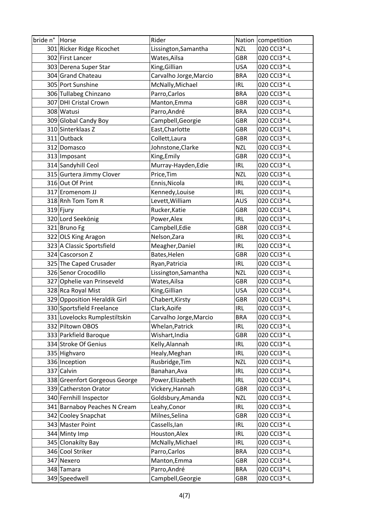| bride n° Horse |                               | Rider                  |            | Nation competition |
|----------------|-------------------------------|------------------------|------------|--------------------|
|                | 301 Ricker Ridge Ricochet     | Lissington, Samantha   | <b>NZL</b> | 020 CCI3*-L        |
|                | 302 First Lancer              | Wates, Ailsa           | <b>GBR</b> | 020 CCI3*-L        |
|                | 303 Derena Super Star         | King, Gillian          | <b>USA</b> | 020 CCI3*-L        |
|                | 304 Grand Chateau             | Carvalho Jorge, Marcio | <b>BRA</b> | 020 CCI3*-L        |
|                | 305 Port Sunshine             | McNally, Michael       | <b>IRL</b> | 020 CCI3*-L        |
|                | 306 Tullabeg Chinzano         | Parro, Carlos          | <b>BRA</b> | 020 CCI3*-L        |
|                | 307 DHI Cristal Crown         | Manton, Emma           | <b>GBR</b> | 020 CCI3*-L        |
|                | 308 Watusi                    | Parro, André           | <b>BRA</b> | 020 CCI3*-L        |
|                | 309 Global Candy Boy          | Campbell, Georgie      | <b>GBR</b> | 020 CCI3*-L        |
|                | 310 Sinterklaas Z             | East, Charlotte        | <b>GBR</b> | 020 CCI3*-L        |
|                | 311 Outback                   | Collett, Laura         | <b>GBR</b> | 020 CCI3*-L        |
|                | 312 Domasco                   | Johnstone, Clarke      | <b>NZL</b> | 020 CCI3*-L        |
|                | 313 Imposant                  | King, Emily            | <b>GBR</b> | 020 CCI3*-L        |
|                | 314 Sandyhill Ceol            | Murray-Hayden, Edie    | <b>IRL</b> | 020 CCI3*-L        |
|                | 315 Gurtera Jimmy Clover      | Price, Tim             | <b>NZL</b> | 020 CCI3*-L        |
|                | 316 Out Of Print              | Ennis, Nicola          | <b>IRL</b> | 020 CCI3*-L        |
|                | 317 Eromenom JJ               | Kennedy, Louise        | <b>IRL</b> | 020 CCI3*-L        |
|                | 318 Rnh Tom Tom R             | Levett, William        | <b>AUS</b> | 020 CCI3*-L        |
|                | $319$ Fjury                   | Rucker, Katie          | <b>GBR</b> | 020 CCI3*-L        |
|                | 320 Lord Seekönig             | Power, Alex            | <b>IRL</b> | 020 CCI3*-L        |
|                | 321 Bruno Fg                  | Campbell, Edie         | <b>GBR</b> | 020 CCI3*-L        |
|                | 322 OLS King Aragon           | Nelson, Zara           | <b>IRL</b> | 020 CCI3*-L        |
|                | 323 A Classic Sportsfield     | Meagher, Daniel        | <b>IRL</b> | 020 CCI3*-L        |
|                | 324 Cascorson Z               | Bates, Helen           | <b>GBR</b> | 020 CCI3*-L        |
|                | 325 The Caped Crusader        | Ryan, Patricia         | <b>IRL</b> | 020 CCI3*-L        |
|                | 326 Senor Crocodillo          | Lissington, Samantha   | <b>NZL</b> | 020 CCI3*-L        |
|                | 327 Ophelie van Prinseveld    | Wates, Ailsa           | <b>GBR</b> | 020 CCI3*-L        |
|                | 328 Rca Royal Mist            | King, Gillian          | <b>USA</b> | 020 CCI3*-L        |
|                | 329 Opposition Heraldik Girl  | Chabert, Kirsty        | <b>GBR</b> | 020 CCI3*-L        |
|                | 330 Sportsfield Freelance     | Clark, Aoife           | <b>IRL</b> | 020 CCI3*-L        |
|                | 331 Lovelocks Rumplestiltskin | Carvalho Jorge, Marcio | <b>BRA</b> | 020 CCI3*-L        |
|                | 332 Piltown OBOS              | Whelan, Patrick        | <b>IRL</b> | 020 CCI3*-L        |
|                | 333 Parkfield Baroque         | Wishart, India         | <b>GBR</b> | 020 CCI3*-L        |
|                | 334 Stroke Of Genius          | Kelly, Alannah         | <b>IRL</b> | 020 CCI3*-L        |
|                | 335 Highvaro                  | Healy, Meghan          | <b>IRL</b> | 020 CCI3*-L        |
|                | 336 Inception                 | Rusbridge, Tim         | <b>NZL</b> | 020 CCI3*-L        |
|                | 337 Calvin                    | Banahan, Ava           | <b>IRL</b> | 020 CCI3*-L        |
|                | 338 Greenfort Gorgeous George | Power, Elizabeth       | <b>IRL</b> | 020 CCI3*-L        |
|                | 339 Catherston Orator         | Vickery, Hannah        | <b>GBR</b> | 020 CCI3*-L        |
|                | 340 Fernhill Inspector        | Goldsbury, Amanda      | <b>NZL</b> | 020 CCI3*-L        |
|                | 341 Barnaboy Peaches N Cream  | Leahy, Conor           | <b>IRL</b> | 020 CCI3*-L        |
|                | 342 Cooley Snapchat           | Milnes, Selina         | <b>GBR</b> | 020 CCI3*-L        |
|                | 343 Master Point              | Cassells, lan          | IRL        | 020 CCI3*-L        |
|                | 344 Minty Imp                 | Houston, Alex          | <b>IRL</b> | 020 CCI3*-L        |
|                | 345 Clonakilty Bay            | McNally, Michael       | <b>IRL</b> | 020 CCI3*-L        |
|                | 346 Cool Striker              | Parro, Carlos          | <b>BRA</b> | 020 CCI3*-L        |
|                | 347 Nexero                    | Manton, Emma           | <b>GBR</b> | 020 CCI3*-L        |
|                | 348 Tamara                    | Parro, André           | <b>BRA</b> | 020 CCI3*-L        |
|                | 349 Speedwell                 | Campbell, Georgie      | GBR        | 020 CCI3*-L        |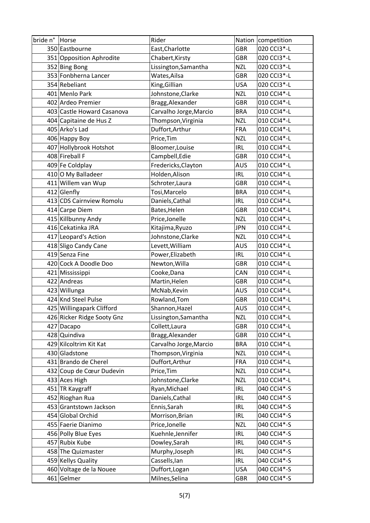| bride n°  Horse |                            | Rider                  |            | Nation competition |
|-----------------|----------------------------|------------------------|------------|--------------------|
|                 | 350 Eastbourne             | East, Charlotte        | <b>GBR</b> | 020 CCI3*-L        |
|                 | 351 Opposition Aphrodite   | Chabert, Kirsty        | <b>GBR</b> | 020 CCI3*-L        |
|                 | 352 Bing Bong              | Lissington, Samantha   | <b>NZL</b> | 020 CCI3*-L        |
|                 | 353 Fonbherna Lancer       | Wates, Ailsa           | <b>GBR</b> | 020 CCI3*-L        |
|                 | 354 Rebeliant              | King, Gillian          | <b>USA</b> | 020 CCI3*-L        |
|                 | 401 Menlo Park             | Johnstone, Clarke      | <b>NZL</b> | 010 CCI4*-L        |
|                 | 402 Ardeo Premier          | Bragg, Alexander       | <b>GBR</b> | 010 CCI4*-L        |
|                 | 403 Castle Howard Casanova | Carvalho Jorge, Marcio | <b>BRA</b> | 010 CCI4*-L        |
|                 | 404 Capitaine de Hus Z     | Thompson, Virginia     | <b>NZL</b> | 010 CCI4*-L        |
|                 | 405 Arko's Lad             | Duffort, Arthur        | <b>FRA</b> | 010 CCI4*-L        |
|                 | 406 Happy Boy              | Price, Tim             | <b>NZL</b> | 010 CCI4*-L        |
|                 | 407 Hollybrook Hotshot     | Bloomer, Louise        | <b>IRL</b> | 010 CCI4*-L        |
|                 | 408 Fireball F             | Campbell, Edie         | <b>GBR</b> | 010 CCI4*-L        |
|                 | 409 Fe Coldplay            | Fredericks, Clayton    | <b>AUS</b> | 010 CCI4*-L        |
|                 | 410 O My Balladeer         | Holden, Alison         | <b>IRL</b> | 010 CCI4*-L        |
|                 | 411 Willem van Wup         | Schroter, Laura        | <b>GBR</b> | 010 CCI4*-L        |
|                 | 412 Glenfly                | Tosi, Marcelo          | <b>BRA</b> | 010 CCI4*-L        |
|                 | 413 CDS Cairnview Romolu   | Daniels, Cathal        | <b>IRL</b> | 010 CCI4*-L        |
|                 | 414 Carpe Diem             | Bates, Helen           | <b>GBR</b> | 010 CCI4*-L        |
|                 | 415 Killbunny Andy         | Price, Jonelle         | <b>NZL</b> | 010 CCI4*-L        |
|                 | 416 Cekatinka JRA          | Kitajima, Ryuzo        | <b>JPN</b> | 010 CCI4*-L        |
|                 | 417 Leopard's Action       | Johnstone, Clarke      | <b>NZL</b> | 010 CCI4*-L        |
|                 | 418 Sligo Candy Cane       | Levett, William        | <b>AUS</b> | 010 CCI4*-L        |
|                 | 419 Senza Fine             | Power, Elizabeth       | <b>IRL</b> | 010 CCI4*-L        |
|                 | 420 Cock A Doodle Doo      | Newton, Willa          | <b>GBR</b> | 010 CCI4*-L        |
|                 | 421 Mississippi            | Cooke, Dana            | CAN        | 010 CCI4*-L        |
|                 | 422 Andreas                | Martin, Helen          | <b>GBR</b> | 010 CCI4*-L        |
|                 | 423 Willunga               | McNab, Kevin           | <b>AUS</b> | 010 CCI4*-L        |
|                 | 424 Knd Steel Pulse        | Rowland, Tom           | <b>GBR</b> | 010 CCI4*-L        |
|                 | 425 Willingapark Clifford  | Shannon, Hazel         | <b>AUS</b> | 010 CCI4*-L        |
|                 | 426 Ricker Ridge Sooty Gnz | Lissington, Samantha   | <b>NZL</b> | 010 CCI4*-L        |
|                 | 427 Dacapo                 | Collett, Laura         | <b>GBR</b> | 010 CCI4*-L        |
|                 | 428 Quindiva               | Bragg, Alexander       | <b>GBR</b> | 010 CCI4*-L        |
|                 | 429 Kilcoltrim Kit Kat     | Carvalho Jorge, Marcio | <b>BRA</b> | 010 CCI4*-L        |
|                 | 430 Gladstone              | Thompson, Virginia     | <b>NZL</b> | 010 CCI4*-L        |
|                 | 431 Brando de Cherel       | Duffort, Arthur        | <b>FRA</b> | 010 CCI4*-L        |
|                 | 432 Coup de Cœur Dudevin   | Price, Tim             | <b>NZL</b> | 010 CCI4*-L        |
|                 | 433 Aces High              | Johnstone, Clarke      | <b>NZL</b> | 010 CCI4*-L        |
|                 | 451 TR Kaygraff            | Ryan, Michael          | <b>IRL</b> | 040 CCI4*-S        |
|                 | 452 Rioghan Rua            | Daniels, Cathal        | <b>IRL</b> | 040 CCI4*-S        |
|                 | 453 Grantstown Jackson     | Ennis, Sarah           | <b>IRL</b> | 040 CCI4*-S        |
|                 | 454 Global Orchid          | Morrison, Brian        | IRL        | 040 CCI4*-S        |
|                 | 455 Faerie Dianimo         | Price, Jonelle         | <b>NZL</b> | 040 CCI4*-S        |
|                 | 456 Polly Blue Eyes        | Kuehnle, Jennifer      | <b>IRL</b> | 040 CCI4*-S        |
|                 | 457 Rubix Kube             | Dowley, Sarah          | <b>IRL</b> | 040 CCI4*-S        |
|                 | 458 The Quizmaster         | Murphy, Joseph         | <b>IRL</b> | 040 CCI4*-S        |
|                 | 459 Kellys Quality         | Cassells, lan          | <b>IRL</b> | 040 CCI4*-S        |
|                 | 460 Voltage de la Nouee    | Duffort, Logan         | <b>USA</b> | 040 CCI4*-S        |
|                 | 461 Gelmer                 | Milnes, Selina         | GBR        | 040 CCI4*-S        |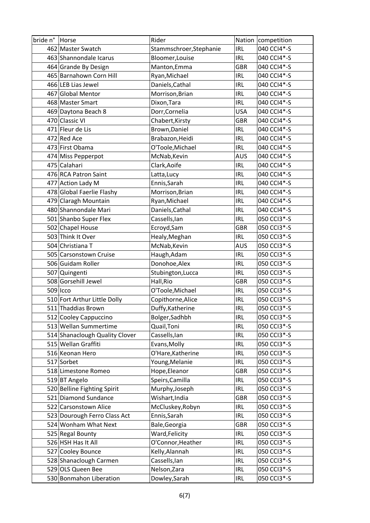| bride n° Horse |                                | Rider                   |            | Nation competition |
|----------------|--------------------------------|-------------------------|------------|--------------------|
|                | 462 Master Swatch              | Stammschroer, Stephanie | IRL        | 040 CCI4*-S        |
|                | 463 Shannondale Icarus         | Bloomer, Louise         | <b>IRL</b> | 040 CCI4*-S        |
|                | 464 Grande By Design           | Manton, Emma            | <b>GBR</b> | 040 CCI4*-S        |
|                | 465 Barnahown Corn Hill        | Ryan, Michael           | <b>IRL</b> | 040 CCI4*-S        |
|                | 466 LEB Lias Jewel             | Daniels, Cathal         | <b>IRL</b> | 040 CCI4*-S        |
|                | 467 Global Mentor              | Morrison, Brian         | IRL        | 040 CCI4*-S        |
|                | 468 Master Smart               | Dixon, Tara             | <b>IRL</b> | 040 CCI4*-S        |
|                | 469 Daytona Beach 8            | Dorr, Cornelia          | <b>USA</b> | 040 CCI4*-S        |
|                | 470 Classic VI                 | Chabert, Kirsty         | <b>GBR</b> | 040 CCI4*-S        |
|                | 471 Fleur de Lis               | Brown, Daniel           | <b>IRL</b> | 040 CCI4*-S        |
|                | 472 Red Ace                    | Brabazon, Heidi         | IRL        | 040 CCI4*-S        |
|                | 473 First Obama                | O'Toole, Michael        | <b>IRL</b> | 040 CCI4*-S        |
|                | 474 Miss Pepperpot             | McNab, Kevin            | <b>AUS</b> | 040 CCI4*-S        |
|                | 475 Calahari                   | Clark, Aoife            | <b>IRL</b> | 040 CCI4*-S        |
|                | 476 RCA Patron Saint           | Latta, Lucy             | <b>IRL</b> | 040 CCI4*-S        |
|                | 477 Action Lady M              | Ennis, Sarah            | <b>IRL</b> | 040 CCI4*-S        |
|                | 478 Global Faerlie Flashy      | Morrison, Brian         | <b>IRL</b> | 040 CCI4*-S        |
|                | 479 Claragh Mountain           | Ryan, Michael           | <b>IRL</b> | 040 CCI4*-S        |
|                | 480 Shannondale Mari           | Daniels, Cathal         | <b>IRL</b> | 040 CCI4*-S        |
|                | 501 Shanbo Super Flex          | Cassells, lan           | <b>IRL</b> | 050 CCI3*-S        |
|                | 502 Chapel House               | Ecroyd, Sam             | <b>GBR</b> | 050 CCI3*-S        |
|                | 503 Think It Over              | Healy, Meghan           | <b>IRL</b> | 050 CCI3*-S        |
|                | 504 Christiana T               | McNab, Kevin            | <b>AUS</b> | 050 CCI3*-S        |
|                | 505 Carsonstown Cruise         | Haugh, Adam             | <b>IRL</b> | 050 CCI3*-S        |
|                | 506 Guidam Roller              | Donohoe, Alex           | <b>IRL</b> | 050 CCI3*-S        |
|                | 507 Quingenti                  | Stubington, Lucca       | <b>IRL</b> | 050 CCI3*-S        |
|                | 508 Gorsehill Jewel            | Hall, Rio               | <b>GBR</b> | 050 CCI3*-S        |
|                | $509$   $_{\text{LCO}}$        | O'Toole, Michael        | <b>IRL</b> | 050 CCI3*-S        |
|                | 510 Fort Arthur Little Dolly   | Copithorne, Alice       | <b>IRL</b> | 050 CCI3*-S        |
|                | 511 Thaddias Brown             | Duffy, Katherine        | <b>IRL</b> | 050 CCI3*-S        |
|                | 512 Cooley Cappuccino          | Bolger, Sadhbh          | <b>IRL</b> | 050 CCI3*-S        |
|                | 513 Wellan Summertime          | Quail, Toni             | <b>IRL</b> | 050 CCI3*-S        |
|                | 514 Shanaclough Quality Clover | Cassells, lan           | <b>IRL</b> | 050 CCI3*-S        |
|                | 515 Wellan Graffiti            | Evans, Molly            | <b>IRL</b> | 050 CCI3*-S        |
|                | 516 Keonan Hero                | O'Hare, Katherine       | <b>IRL</b> | 050 CCI3*-S        |
|                | 517 Sorbet                     | Young, Melanie          | <b>IRL</b> | 050 CCI3*-S        |
|                | 518 Limestone Romeo            | Hope, Eleanor           | <b>GBR</b> | 050 CCI3*-S        |
|                | 519 BT Angelo                  | Speirs, Camilla         | <b>IRL</b> | 050 CCI3*-S        |
|                | 520 Belline Fighting Spirit    | Murphy, Joseph          | <b>IRL</b> | 050 CCI3*-S        |
|                | 521 Diamond Sundance           | Wishart, India          | <b>GBR</b> | 050 CCI3*-S        |
|                | 522 Carsonstown Alice          | McCluskey, Robyn        | <b>IRL</b> | 050 CCI3*-S        |
|                | 523 Dourough Ferro Class Act   | Ennis, Sarah            | <b>IRL</b> | 050 CCI3*-S        |
|                | 524 Wonham What Next           | Bale, Georgia           | <b>GBR</b> | 050 CCI3*-S        |
|                | 525 Regal Bounty               | Ward, Felicity          | <b>IRL</b> | 050 CCI3*-S        |
|                | 526 HSH Has It All             | O'Connor, Heather       | <b>IRL</b> | 050 CCI3*-S        |
|                | 527 Cooley Bounce              | Kelly, Alannah          | <b>IRL</b> | 050 CCI3*-S        |
|                | 528 Shanaclough Carmen         | Cassells, lan           | <b>IRL</b> | 050 CCI3*-S        |
|                | 529 OLS Queen Bee              | Nelson, Zara            | <b>IRL</b> | 050 CCI3*-S        |
|                | 530 Bonmahon Liberation        | Dowley, Sarah           | <b>IRL</b> | 050 CCI3*-S        |